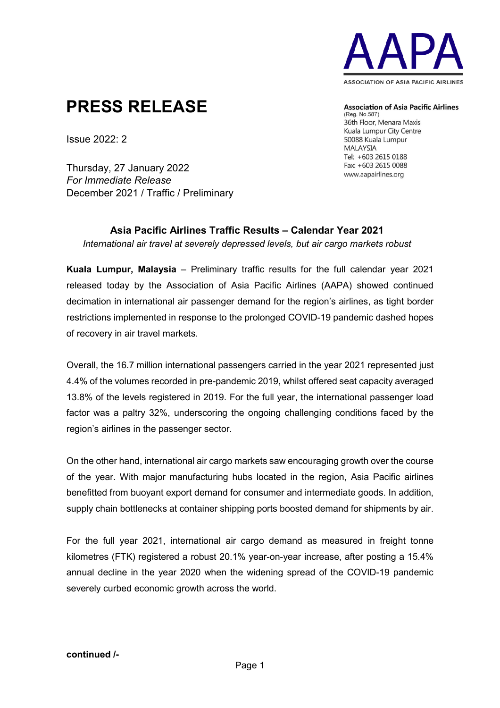

# **PRESS RELEASE**

**Association of Asia Pacific Airlines** 

(Reg. No.587) 36th Floor, Menara Maxis Kuala Lumpur City Centre 50088 Kuala Lumpur **MALAYSIA** Tel: +603 2615 0188 Fax: +603 2615 0088 www.aapairlines.org

Issue 2022: 2

Thursday, 27 January 2022 *For Immediate Release* December 2021 / Traffic / Preliminary

### **Asia Pacific Airlines Traffic Results – Calendar Year 2021** *International air travel at severely depressed levels, but air cargo markets robust*

**Kuala Lumpur, Malaysia** – Preliminary traffic results for the full calendar year 2021 released today by the Association of Asia Pacific Airlines (AAPA) showed continued decimation in international air passenger demand for the region's airlines, as tight border restrictions implemented in response to the prolonged COVID-19 pandemic dashed hopes of recovery in air travel markets.

Overall, the 16.7 million international passengers carried in the year 2021 represented just 4.4% of the volumes recorded in pre-pandemic 2019, whilst offered seat capacity averaged 13.8% of the levels registered in 2019. For the full year, the international passenger load factor was a paltry 32%, underscoring the ongoing challenging conditions faced by the region's airlines in the passenger sector.

On the other hand, international air cargo markets saw encouraging growth over the course of the year. With major manufacturing hubs located in the region, Asia Pacific airlines benefitted from buoyant export demand for consumer and intermediate goods. In addition, supply chain bottlenecks at container shipping ports boosted demand for shipments by air.

For the full year 2021, international air cargo demand as measured in freight tonne kilometres (FTK) registered a robust 20.1% year-on-year increase, after posting a 15.4% annual decline in the year 2020 when the widening spread of the COVID-19 pandemic severely curbed economic growth across the world.

### **continued /-**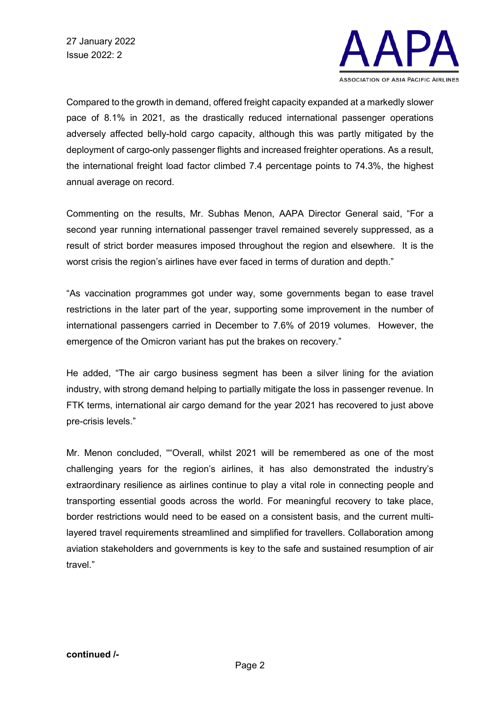

Compared to the growth in demand, offered freight capacity expanded at a markedly slower pace of 8.1% in 2021, as the drastically reduced international passenger operations adversely affected belly-hold cargo capacity, although this was partly mitigated by the deployment of cargo-only passenger flights and increased freighter operations. As a result, the international freight load factor climbed 7.4 percentage points to 74.3%, the highest annual average on record.

Commenting on the results, Mr. Subhas Menon, AAPA Director General said, "For a second year running international passenger travel remained severely suppressed, as a result of strict border measures imposed throughout the region and elsewhere. It is the worst crisis the region's airlines have ever faced in terms of duration and depth."

"As vaccination programmes got under way, some governments began to ease travel restrictions in the later part of the year, supporting some improvement in the number of international passengers carried in December to 7.6% of 2019 volumes. However, the emergence of the Omicron variant has put the brakes on recovery."

He added, "The air cargo business segment has been a silver lining for the aviation industry, with strong demand helping to partially mitigate the loss in passenger revenue. In FTK terms, international air cargo demand for the year 2021 has recovered to just above pre-crisis levels."

Mr. Menon concluded, ""Overall, whilst 2021 will be remembered as one of the most challenging years for the region's airlines, it has also demonstrated the industry's extraordinary resilience as airlines continue to play a vital role in connecting people and transporting essential goods across the world. For meaningful recovery to take place, border restrictions would need to be eased on a consistent basis, and the current multilayered travel requirements streamlined and simplified for travellers. Collaboration among aviation stakeholders and governments is key to the safe and sustained resumption of air travel."